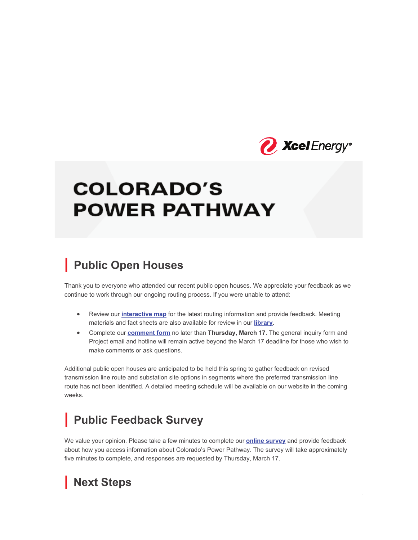

# **COLORADO'S POWER PATHWAY**

### **| Public Open Houses**

Thank you to everyone who attended our recent public open houses. We appreciate your feedback as we continue to work through our ongoing routing process. If you were unable to attend:

- **•** Review our *interactive map* for the latest routing information and provide feedback. Meeting materials and fact sheets are also available for review in our **library**.
- x Complete our **comment form** no later than **Thursday, March 17**. The general inquiry form and Project email and hotline will remain active beyond the March 17 deadline for those who wish to make comments or ask questions.

Additional public open houses are anticipated to be held this spring to gather feedback on revised transmission line route and substation site options in segments where the preferred transmission line route has not been identified. A detailed meeting schedule will be available on our website in the coming weeks.

## **| Public Feedback Survey**

We value your opinion. Please take a few minutes to complete our **online survey** and provide feedback about how you access information about Colorado's Power Pathway. The survey will take approximately five minutes to complete, and responses are requested by Thursday, March 17.

### **| Next Steps**